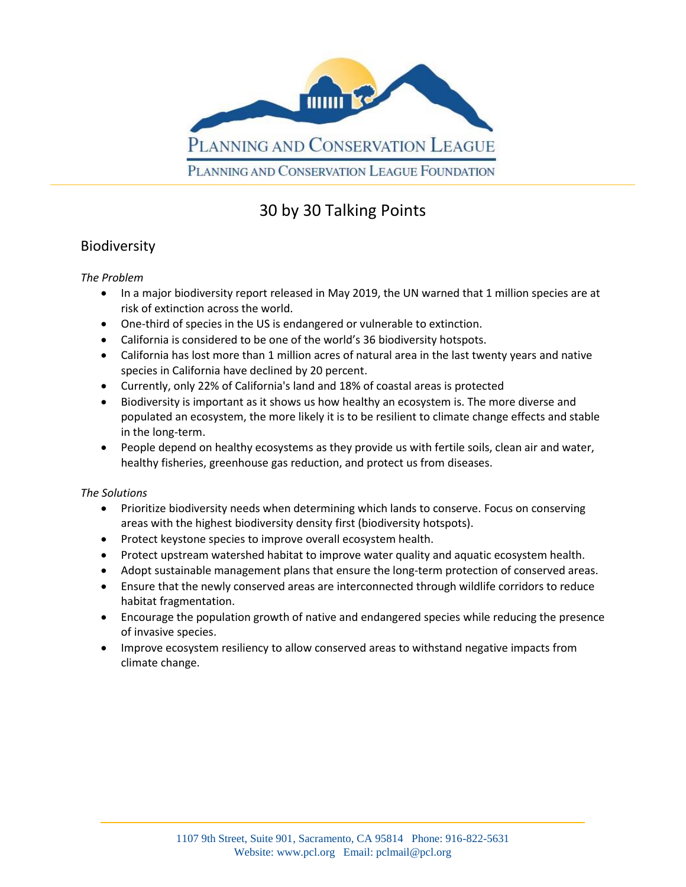

# 30 by 30 Talking Points

### Biodiversity

#### *The Problem*

- In a major biodiversity report released in May 2019, the UN warned that 1 million species are at risk of extinction across the world.
- One-third of species in the US is endangered or vulnerable to extinction.
- California is considered to be one of the world's 36 biodiversity hotspots.
- California has lost more than 1 million acres of natural area in the last twenty years and native species in California have declined by 20 percent.
- Currently, only 22% of California's land and 18% of coastal areas is protected
- Biodiversity is important as it shows us how healthy an ecosystem is. The more diverse and populated an ecosystem, the more likely it is to be resilient to climate change effects and stable in the long-term.
- People depend on healthy ecosystems as they provide us with fertile soils, clean air and water, healthy fisheries, greenhouse gas reduction, and protect us from diseases.

#### *The Solutions*

- Prioritize biodiversity needs when determining which lands to conserve. Focus on conserving areas with the highest biodiversity density first (biodiversity hotspots).
- Protect keystone species to improve overall ecosystem health.
- Protect upstream watershed habitat to improve water quality and aquatic ecosystem health.
- Adopt sustainable management plans that ensure the long-term protection of conserved areas.
- Ensure that the newly conserved areas are interconnected through wildlife corridors to reduce habitat fragmentation.
- Encourage the population growth of native and endangered species while reducing the presence of invasive species.
- Improve ecosystem resiliency to allow conserved areas to withstand negative impacts from climate change.